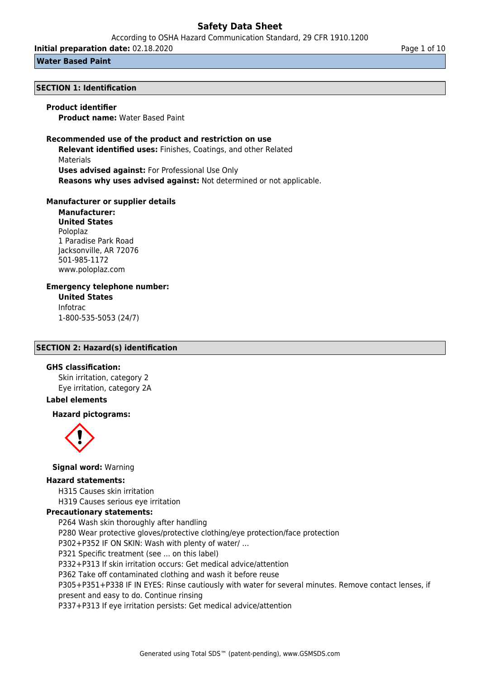According to OSHA Hazard Communication Standard, 29 CFR 1910.1200

**Initial preparation date:** 02.18.2020 **Page 1 of 10** Page 1 of 10

#### **Water Based Paint**

#### **SECTION 1: Identification**

## **Product identifier**

**Product name:** Water Based Paint

### **Recommended use of the product and restriction on use**

**Relevant identified uses:** Finishes, Coatings, and other Related Materials **Uses advised against:** For Professional Use Only **Reasons why uses advised against:** Not determined or not applicable.

#### **Manufacturer or supplier details**

**Manufacturer: United States** Poloplaz 1 Paradise Park Road Jacksonville, AR 72076 501-985-1172 www.poloplaz.com

# **Emergency telephone number:**

**United States** Infotrac 1-800-535-5053 (24/7)

# **SECTION 2: Hazard(s) identification**

## **GHS classification:**

Skin irritation, category 2 Eye irritation, category 2A

### **Label elements**

### **Hazard pictograms:**



### **Signal word:** Warning

# **Hazard statements:**

H315 Causes skin irritation H319 Causes serious eye irritation

#### **Precautionary statements:**

P264 Wash skin thoroughly after handling P280 Wear protective gloves/protective clothing/eye protection/face protection P302+P352 IF ON SKIN: Wash with plenty of water/ … P321 Specific treatment (see ... on this label) P332+P313 If skin irritation occurs: Get medical advice/attention P362 Take off contaminated clothing and wash it before reuse P305+P351+P338 IF IN EYES: Rinse cautiously with water for several minutes. Remove contact lenses, if present and easy to do. Continue rinsing P337+P313 If eye irritation persists: Get medical advice/attention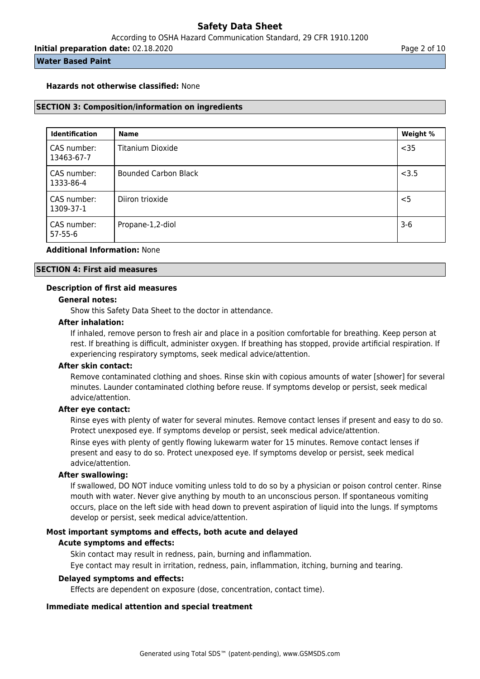**Initial preparation date:** 02.18.2020 **Page 2 of 10** Page 2 of 10

#### **Water Based Paint**

#### **Hazards not otherwise classified:** None

#### **SECTION 3: Composition/information on ingredients**

| <b>Identification</b>        | <b>Name</b>                 | Weight % |
|------------------------------|-----------------------------|----------|
| CAS number:<br>13463-67-7    | Titanium Dioxide            | $35$     |
| CAS number:<br>1333-86-4     | <b>Bounded Carbon Black</b> | < 3.5    |
| CAS number:<br>1309-37-1     | Diiron trioxide             | $<$ 5    |
| CAS number:<br>$57 - 55 - 6$ | Propane-1,2-diol            | $3-6$    |

#### **Additional Information:** None

#### **SECTION 4: First aid measures**

#### **Description of first aid measures**

#### **General notes:**

Show this Safety Data Sheet to the doctor in attendance.

#### **After inhalation:**

If inhaled, remove person to fresh air and place in a position comfortable for breathing. Keep person at rest. If breathing is difficult, administer oxygen. If breathing has stopped, provide artificial respiration. If experiencing respiratory symptoms, seek medical advice/attention.

#### **After skin contact:**

Remove contaminated clothing and shoes. Rinse skin with copious amounts of water [shower] for several minutes. Launder contaminated clothing before reuse. If symptoms develop or persist, seek medical advice/attention.

#### **After eye contact:**

Rinse eyes with plenty of water for several minutes. Remove contact lenses if present and easy to do so. Protect unexposed eye. If symptoms develop or persist, seek medical advice/attention.

Rinse eyes with plenty of gently flowing lukewarm water for 15 minutes. Remove contact lenses if present and easy to do so. Protect unexposed eye. If symptoms develop or persist, seek medical advice/attention.

#### **After swallowing:**

If swallowed, DO NOT induce vomiting unless told to do so by a physician or poison control center. Rinse mouth with water. Never give anything by mouth to an unconscious person. If spontaneous vomiting occurs, place on the left side with head down to prevent aspiration of liquid into the lungs. If symptoms develop or persist, seek medical advice/attention.

#### **Most important symptoms and effects, both acute and delayed**

#### **Acute symptoms and effects:**

Skin contact may result in redness, pain, burning and inflammation.

Eye contact may result in irritation, redness, pain, inflammation, itching, burning and tearing.

#### **Delayed symptoms and effects:**

Effects are dependent on exposure (dose, concentration, contact time).

### **Immediate medical attention and special treatment**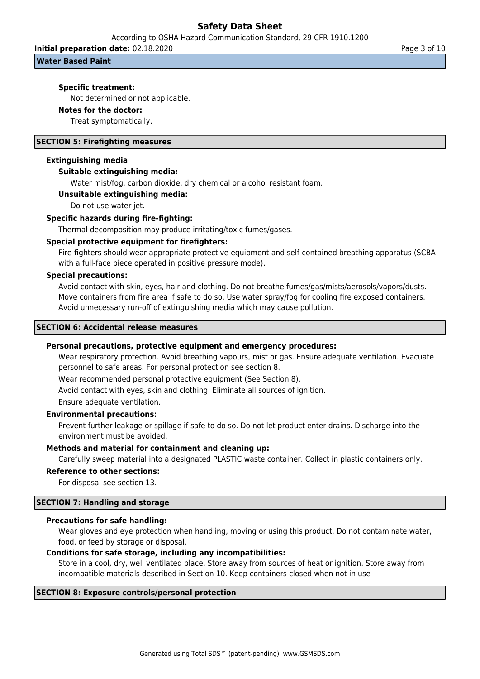According to OSHA Hazard Communication Standard, 29 CFR 1910.1200

**Initial preparation date:** 02.18.2020 **Page 3 of 10** Page 3 of 10

#### **Water Based Paint**

#### **Specific treatment:**

Not determined or not applicable.

## **Notes for the doctor:**

Treat symptomatically.

#### **SECTION 5: Firefighting measures**

#### **Extinguishing media**

#### **Suitable extinguishing media:**

Water mist/fog, carbon dioxide, dry chemical or alcohol resistant foam.

#### **Unsuitable extinguishing media:**

Do not use water jet.

#### **Specific hazards during fire-fighting:**

Thermal decomposition may produce irritating/toxic fumes/gases.

#### **Special protective equipment for firefighters:**

Fire-fighters should wear appropriate protective equipment and self-contained breathing apparatus (SCBA with a full-face piece operated in positive pressure mode).

#### **Special precautions:**

Avoid contact with skin, eyes, hair and clothing. Do not breathe fumes/gas/mists/aerosols/vapors/dusts. Move containers from fire area if safe to do so. Use water spray/fog for cooling fire exposed containers. Avoid unnecessary run-off of extinguishing media which may cause pollution.

#### **SECTION 6: Accidental release measures**

#### **Personal precautions, protective equipment and emergency procedures:**

Wear respiratory protection. Avoid breathing vapours, mist or gas. Ensure adequate ventilation. Evacuate personnel to safe areas. For personal protection see section 8.

Wear recommended personal protective equipment (See Section 8).

Avoid contact with eyes, skin and clothing. Eliminate all sources of ignition.

Ensure adequate ventilation.

#### **Environmental precautions:**

Prevent further leakage or spillage if safe to do so. Do not let product enter drains. Discharge into the environment must be avoided.

#### **Methods and material for containment and cleaning up:**

Carefully sweep material into a designated PLASTIC waste container. Collect in plastic containers only.

#### **Reference to other sections:**

For disposal see section 13.

#### **SECTION 7: Handling and storage**

#### **Precautions for safe handling:**

Wear gloves and eye protection when handling, moving or using this product. Do not contaminate water, food, or feed by storage or disposal.

#### **Conditions for safe storage, including any incompatibilities:**

Store in a cool, dry, well ventilated place. Store away from sources of heat or ignition. Store away from incompatible materials described in Section 10. Keep containers closed when not in use

#### **SECTION 8: Exposure controls/personal protection**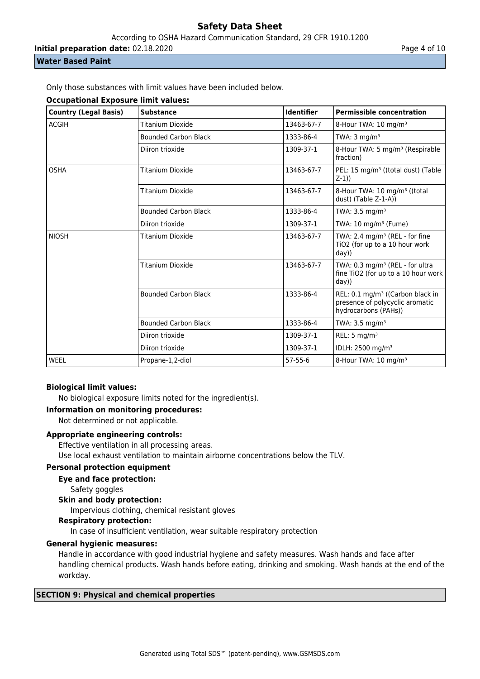According to OSHA Hazard Communication Standard, 29 CFR 1910.1200

**Initial preparation date:** 02.18.2020 **Page 4 of 10** Page 4 of 10

# **Water Based Paint**

Only those substances with limit values have been included below.

## **Occupational Exposure limit values:**

| <b>Country (Legal Basis)</b> | <b>Substance</b>            | <b>Identifier</b> | <b>Permissible concentration</b>                                                                        |
|------------------------------|-----------------------------|-------------------|---------------------------------------------------------------------------------------------------------|
| <b>ACGIH</b>                 | Titanium Dioxide            | 13463-67-7        | 8-Hour TWA: 10 mg/m <sup>3</sup>                                                                        |
|                              | <b>Bounded Carbon Black</b> | 1333-86-4         | TWA: $3 \text{ mg/m}^3$                                                                                 |
|                              | Diiron trioxide             | 1309-37-1         | 8-Hour TWA: 5 mg/m <sup>3</sup> (Respirable<br>fraction)                                                |
| <b>OSHA</b>                  | <b>Titanium Dioxide</b>     | 13463-67-7        | PEL: 15 mg/m <sup>3</sup> ((total dust) (Table<br>$Z-1)$                                                |
|                              | Titanium Dioxide            | 13463-67-7        | 8-Hour TWA: 10 mg/m <sup>3</sup> ((total<br>dust) (Table Z-1-A))                                        |
|                              | <b>Bounded Carbon Black</b> | 1333-86-4         | TWA: $3.5 \text{ mg/m}^3$                                                                               |
|                              | Diiron trioxide             | 1309-37-1         | TWA: $10 \text{ mg/m}^3$ (Fume)                                                                         |
| <b>NIOSH</b>                 | Titanium Dioxide            | 13463-67-7        | TWA: 2.4 mg/m <sup>3</sup> (REL - for fine<br>TiO2 (for up to a 10 hour work<br>day)                    |
|                              | Titanium Dioxide            | 13463-67-7        | TWA: 0.3 mg/m <sup>3</sup> (REL - for ultra<br>fine TiO2 (for up to a 10 hour work<br>day)              |
|                              | <b>Bounded Carbon Black</b> | 1333-86-4         | REL: 0.1 mg/m <sup>3</sup> ((Carbon black in<br>presence of polycyclic aromatic<br>hydrocarbons (PAHs)) |
|                              | <b>Bounded Carbon Black</b> | 1333-86-4         | TWA: $3.5 \text{ mg/m}^3$                                                                               |
|                              | Diiron trioxide             | 1309-37-1         | REL: $5 \text{ mg/m}^3$                                                                                 |
|                              | Diiron trioxide             | 1309-37-1         | IDLH: 2500 mg/m <sup>3</sup>                                                                            |
| WEEL                         | Propane-1,2-diol            | $57 - 55 - 6$     | 8-Hour TWA: 10 mg/m <sup>3</sup>                                                                        |

# **Biological limit values:**

No biological exposure limits noted for the ingredient(s).

#### **Information on monitoring procedures:**

Not determined or not applicable.

# **Appropriate engineering controls:**

Effective ventilation in all processing areas.

Use local exhaust ventilation to maintain airborne concentrations below the TLV.

# **Personal protection equipment**

**Eye and face protection:**

Safety goggles

## **Skin and body protection:**

Impervious clothing, chemical resistant gloves

### **Respiratory protection:**

In case of insufficient ventilation, wear suitable respiratory protection

# **General hygienic measures:**

Handle in accordance with good industrial hygiene and safety measures. Wash hands and face after handling chemical products. Wash hands before eating, drinking and smoking. Wash hands at the end of the workday.

#### **SECTION 9: Physical and chemical properties**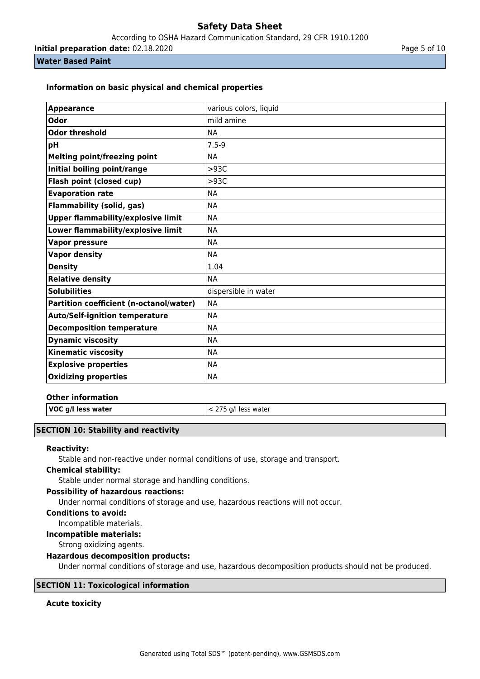According to OSHA Hazard Communication Standard, 29 CFR 1910.1200

**Initial preparation date:** 02.18.2020 **Page 1 and 2011** Page 5 of 10

### **Water Based Paint**

## **Information on basic physical and chemical properties**

| <b>Appearance</b>                         | various colors, liquid |
|-------------------------------------------|------------------------|
| <b>Odor</b>                               | mild amine             |
| <b>Odor threshold</b>                     | <b>NA</b>              |
| pH                                        | $7.5 - 9$              |
| <b>Melting point/freezing point</b>       | <b>NA</b>              |
| Initial boiling point/range               | >93C                   |
| Flash point (closed cup)                  | >93C                   |
| <b>Evaporation rate</b>                   | <b>NA</b>              |
| <b>Flammability (solid, gas)</b>          | <b>NA</b>              |
| <b>Upper flammability/explosive limit</b> | <b>NA</b>              |
| Lower flammability/explosive limit        | <b>NA</b>              |
| <b>Vapor pressure</b>                     | <b>NA</b>              |
| <b>Vapor density</b>                      | <b>NA</b>              |
| <b>Density</b>                            | 1.04                   |
| <b>Relative density</b>                   | <b>NA</b>              |
| <b>Solubilities</b>                       | dispersible in water   |
| Partition coefficient (n-octanol/water)   | <b>NA</b>              |
| <b>Auto/Self-ignition temperature</b>     | <b>NA</b>              |
| <b>Decomposition temperature</b>          | <b>NA</b>              |
| <b>Dynamic viscosity</b>                  | <b>NA</b>              |
| <b>Kinematic viscosity</b>                | <b>NA</b>              |
| <b>Explosive properties</b>               | <b>NA</b>              |
| <b>Oxidizing properties</b>               | <b>NA</b>              |

#### **Other information**

**VOC g/l less water**  $\vert$  < 275 g/l less water

# **SECTION 10: Stability and reactivity**

## **Reactivity:**

Stable and non-reactive under normal conditions of use, storage and transport.

### **Chemical stability:**

Stable under normal storage and handling conditions.

### **Possibility of hazardous reactions:**

Under normal conditions of storage and use, hazardous reactions will not occur.

#### **Conditions to avoid:**

Incompatible materials.

**Incompatible materials:**

Strong oxidizing agents.

#### **Hazardous decomposition products:**

Under normal conditions of storage and use, hazardous decomposition products should not be produced.

# **SECTION 11: Toxicological information**

# **Acute toxicity**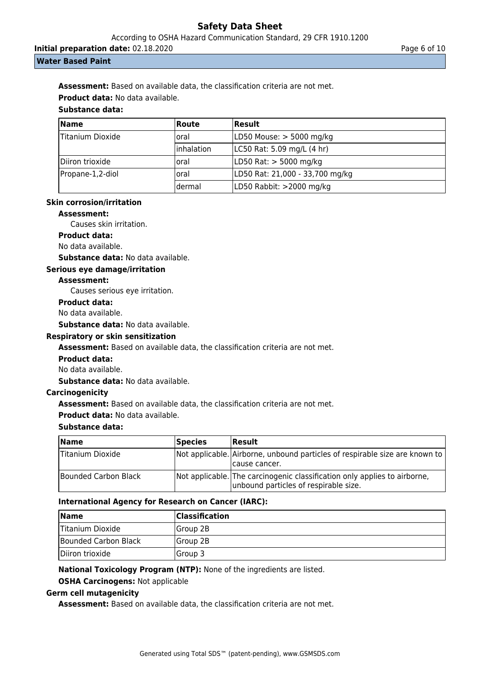According to OSHA Hazard Communication Standard, 29 CFR 1910.1200

**Initial preparation date:** 02.18.2020 **Page 6 of 10** Page 6 of 10

### **Water Based Paint**

**Assessment:** Based on available data, the classification criteria are not met.

**Product data:** No data available.

# **Substance data:**

| <b>Name</b>      | <b>Route</b> | Result                          |
|------------------|--------------|---------------------------------|
| Titanium Dioxide | loral        | LD50 Mouse: > 5000 mg/kg        |
|                  | linhalation  | LC50 Rat: 5.09 mg/L (4 hr)      |
| Diiron trioxide  | oral         | LD50 Rat: > 5000 mg/kg          |
| Propane-1,2-diol | loral        | LD50 Rat: 21,000 - 33,700 mg/kg |
|                  | ldermal      | LD50 Rabbit: >2000 mg/kg        |

# **Skin corrosion/irritation**

#### **Assessment:**

Causes skin irritation.

**Product data:**

No data available.

**Substance data:** No data available.

# **Serious eye damage/irritation**

# **Assessment:**

Causes serious eye irritation.

#### **Product data:**

No data available.

**Substance data:** No data available.

# **Respiratory or skin sensitization**

**Assessment:** Based on available data, the classification criteria are not met.

**Product data:**

No data available.

**Substance data:** No data available.

# **Carcinogenicity**

**Assessment:** Based on available data, the classification criteria are not met.

# **Product data:** No data available.

#### **Substance data:**

| <b>Name</b>          | <b>Species</b> | Result                                                                                                             |
|----------------------|----------------|--------------------------------------------------------------------------------------------------------------------|
| Titanium Dioxide     |                | Not applicable. Airborne, unbound particles of respirable size are known to<br>Icause cancer.                      |
| Bounded Carbon Black |                | Not applicable. The carcinogenic classification only applies to airborne,<br>unbound particles of respirable size. |

# **International Agency for Research on Cancer (IARC):**

| <b>Name</b>          | <b>Classification</b> |
|----------------------|-----------------------|
| Titanium Dioxide     | Group 2B              |
| Bounded Carbon Black | lGroup 2B             |
| Diiron trioxide      | Group 3               |

#### **National Toxicology Program (NTP):** None of the ingredients are listed.

**OSHA Carcinogens:** Not applicable

# **Germ cell mutagenicity**

**Assessment:** Based on available data, the classification criteria are not met.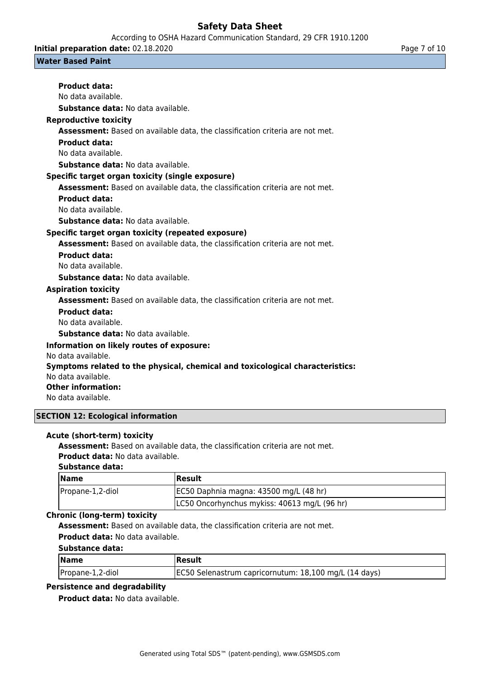According to OSHA Hazard Communication Standard, 29 CFR 1910.1200

**Initial preparation date:** 02.18.2020 **Page 7 of 10** Page 7 of 10

### **Water Based Paint**

| <b>Product data:</b>                                                          |
|-------------------------------------------------------------------------------|
| No data available.                                                            |
| Substance data: No data available.                                            |
| <b>Reproductive toxicity</b>                                                  |
| Assessment: Based on available data, the classification criteria are not met. |
| <b>Product data:</b>                                                          |
| No data available.                                                            |
| <b>Substance data:</b> No data available.                                     |
| Specific target organ toxicity (single exposure)                              |
| Assessment: Based on available data, the classification criteria are not met. |
| <b>Product data:</b>                                                          |
| No data available.                                                            |
| Substance data: No data available.                                            |
| Specific target organ toxicity (repeated exposure)                            |
| Assessment: Based on available data, the classification criteria are not met. |
| <b>Product data:</b>                                                          |
| No data available.                                                            |
| <b>Substance data:</b> No data available.                                     |
| <b>Aspiration toxicity</b>                                                    |
| Assessment: Based on available data, the classification criteria are not met. |
| <b>Product data:</b>                                                          |
| No data available.                                                            |
| <b>Substance data: No data available.</b>                                     |
| Information on likely reutes of expects                                       |

# **Information on likely routes of exposure:**

No data available.

### **Symptoms related to the physical, chemical and toxicological characteristics:**

No data available.

# **Other information:**

No data available.

# **SECTION 12: Ecological information**

# **Acute (short-term) toxicity**

**Assessment:** Based on available data, the classification criteria are not met.

# **Product data:** No data available.

# **Substance data:**

| <b>Name</b>      | Result                                       |
|------------------|----------------------------------------------|
| Propane-1,2-diol | [EC50 Daphnia magna: 43500 mg/L (48 hr)      |
|                  | LC50 Oncorhynchus mykiss: 40613 mg/L (96 hr) |

# **Chronic (long-term) toxicity**

**Assessment:** Based on available data, the classification criteria are not met. **Product data:** No data available.

# **Substance data:**

| Name             | Result                                                |
|------------------|-------------------------------------------------------|
| Propane-1,2-diol | EC50 Selenastrum capricornutum: 18,100 mg/L (14 days) |

# **Persistence and degradability**

**Product data:** No data available.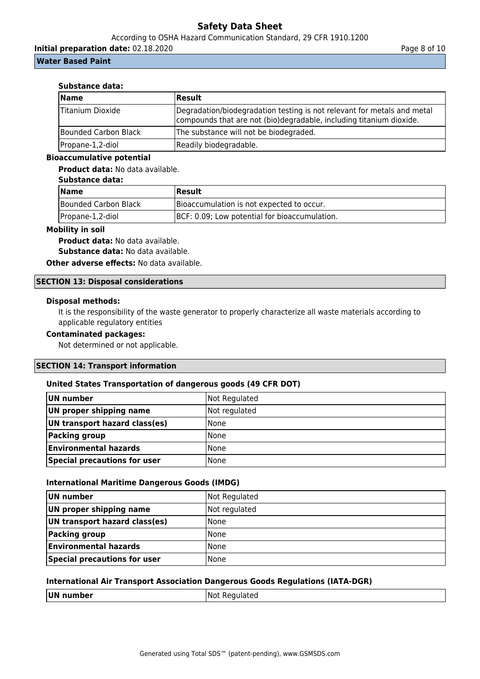According to OSHA Hazard Communication Standard, 29 CFR 1910.1200

**Initial preparation date:** 02.18.2020 **Page 8 of 10** Page 8 of 10

## **Water Based Paint**

#### **Substance data:**

| <b>Name</b>          | Result                                                                                                                                         |
|----------------------|------------------------------------------------------------------------------------------------------------------------------------------------|
| Titanium Dioxide     | Degradation/biodegradation testing is not relevant for metals and metal<br>compounds that are not (bio)degradable, including titanium dioxide. |
| Bounded Carbon Black | The substance will not be biodegraded.                                                                                                         |
| Propane-1,2-diol     | Readily biodegradable.                                                                                                                         |

### **Bioaccumulative potential**

**Product data:** No data available.

# **Substance data:**

| <b>Name</b>          | Result                                        |  |
|----------------------|-----------------------------------------------|--|
| Bounded Carbon Black | Bioaccumulation is not expected to occur.     |  |
| Propane-1,2-diol     | BCF: 0.09; Low potential for bioaccumulation. |  |

#### **Mobility in soil**

**Product data:** No data available.

**Substance data:** No data available.

**Other adverse effects: No data available.** 

# **SECTION 13: Disposal considerations**

#### **Disposal methods:**

It is the responsibility of the waste generator to properly characterize all waste materials according to applicable regulatory entities

# **Contaminated packages:**

Not determined or not applicable.

## **SECTION 14: Transport information**

#### **United States Transportation of dangerous goods (49 CFR DOT)**

| UN number                     | Not Regulated |
|-------------------------------|---------------|
| UN proper shipping name       | Not regulated |
| UN transport hazard class(es) | l None        |
| <b>Packing group</b>          | <b>None</b>   |
| <b>Environmental hazards</b>  | l None        |
| Special precautions for user  | l None        |

#### **International Maritime Dangerous Goods (IMDG)**

| UN number                     | Not Regulated |
|-------------------------------|---------------|
| UN proper shipping name       | Not regulated |
| UN transport hazard class(es) | <b>None</b>   |
| <b>Packing group</b>          | <b>None</b>   |
| <b>Environmental hazards</b>  | <b>None</b>   |
| Special precautions for user  | <b>None</b>   |

#### **International Air Transport Association Dangerous Goods Regulations (IATA-DGR)**

| UN<br>.<br>n<br>ımper | I Not<br><b>Regionale</b><br>È |
|-----------------------|--------------------------------|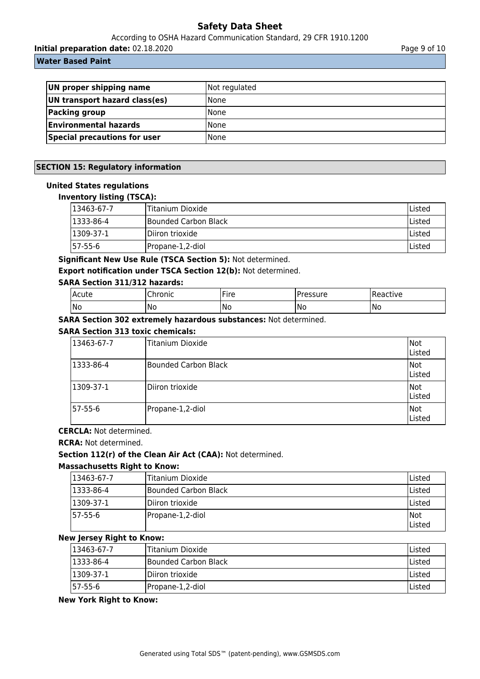According to OSHA Hazard Communication Standard, 29 CFR 1910.1200

**Initial preparation date:** 02.18.2020 **Page 9 of 10** Page 9 of 10

# **Water Based Paint**

| UN proper shipping name             | Not regulated |
|-------------------------------------|---------------|
| UN transport hazard class(es)       | l None        |
| Packing group                       | <b>None</b>   |
| <b>Environmental hazards</b>        | l None        |
| <b>Special precautions for user</b> | l None        |

# **SECTION 15: Regulatory information**

### **United States regulations**

### **Inventory listing (TSCA):**

| $13463-67-7$    | <b>Titanium Dioxide</b>      | Listed        |
|-----------------|------------------------------|---------------|
| $ 1333-86-4 $   | <b>IBounded Carbon Black</b> | lListed       |
| $1309 - 37 - 1$ | Diiron trioxide              | <b>Listed</b> |
| 157-55-6        | Propane-1,2-diol             | <b>Listed</b> |

**Significant New Use Rule (TSCA Section 5):** Not determined.

**Export notification under TSCA Section 12(b):** Not determined.

# **SARA Section 311/312 hazards:**

| Acute | $n$<br>onic | ıre<br>the contract of the contract of the | essure' | ctive<br>RP di |
|-------|-------------|--------------------------------------------|---------|----------------|
| No    | 'No         | 'No<br>__                                  | No      | 'No            |

**SARA Section 302 extremely hazardous substances:** Not determined.

## **SARA Section 313 toxic chemicals:**

| 13463-67-7 | Titanium Dioxide     | Not<br>Listed         |
|------------|----------------------|-----------------------|
| 1333-86-4  | Bounded Carbon Black | <b>INot</b><br>Listed |
| 1309-37-1  | lDiiron trioxide     | Not<br>Listed         |
| 57-55-6    | Propane-1,2-diol     | Not<br>Listed         |

# **CERCLA:** Not determined.

**RCRA:** Not determined.

# **Section 112(r) of the Clean Air Act (CAA):** Not determined.

#### **Massachusetts Right to Know:**

| 13463-67-7        | lTitanium Dioxide    | Listed               |
|-------------------|----------------------|----------------------|
| $ 1333 - 86 - 4 $ | Bounded Carbon Black | Listed               |
| $1309-37-1$       | Diiron trioxide      | Listed               |
| 157-55-6          | Propane-1,2-diol     | Not<br><b>Listed</b> |

# **New Jersey Right to Know:**

| 13463-67-7 | lTitanium Dioxide            | lListed |
|------------|------------------------------|---------|
| 1333-86-4  | <b>IBounded Carbon Black</b> | lListed |
| 11309-37-1 | IDiiron trioxide             | lListed |
| 157-55-6   | Propane-1,2-diol             | lListed |

### **New York Right to Know:**